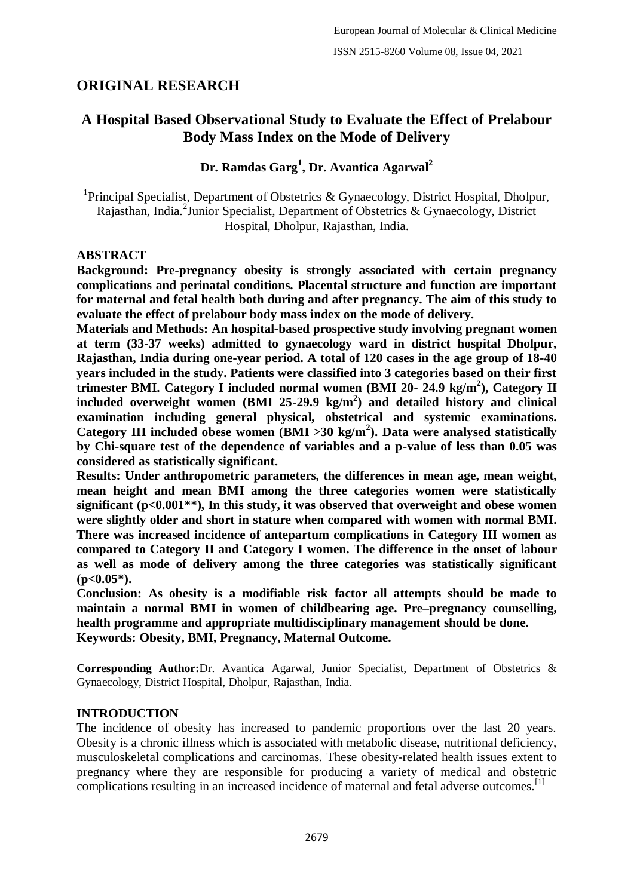# **ORIGINAL RESEARCH**

# **A Hospital Based Observational Study to Evaluate the Effect of Prelabour Body Mass Index on the Mode of Delivery**

## **Dr. Ramdas Garg<sup>1</sup> , Dr. Avantica Agarwal<sup>2</sup>**

<sup>1</sup>Principal Specialist, Department of Obstetrics & Gynaecology, District Hospital, Dholpur, Rajasthan, India.<sup>2</sup> Junior Specialist, Department of Obstetrics & Gynaecology, District Hospital, Dholpur, Rajasthan, India.

### **ABSTRACT**

**Background: Pre-pregnancy obesity is strongly associated with certain pregnancy complications and perinatal conditions. Placental structure and function are important for maternal and fetal health both during and after pregnancy. The aim of this study to evaluate the effect of prelabour body mass index on the mode of delivery.**

**Materials and Methods: An hospital-based prospective study involving pregnant women at term (33-37 weeks) admitted to gynaecology ward in district hospital Dholpur, Rajasthan, India during one-year period. A total of 120 cases in the age group of 18-40 years included in the study. Patients were classified into 3 categories based on their first trimester BMI. Category I included normal women (BMI 20- 24.9 kg/m<sup>2</sup> ), Category II included overweight women (BMI 25-29.9 kg/m<sup>2</sup> ) and detailed history and clinical examination including general physical, obstetrical and systemic examinations. Category III included obese women (BMI >30 kg/m<sup>2</sup> ). Data were analysed statistically by Chi-square test of the dependence of variables and a p-value of less than 0.05 was considered as statistically significant.**

**Results: Under anthropometric parameters, the differences in mean age, mean weight, mean height and mean BMI among the three categories women were statistically significant (p<0.001\*\*), In this study, it was observed that overweight and obese women were slightly older and short in stature when compared with women with normal BMI. There was increased incidence of antepartum complications in Category III women as compared to Category II and Category I women. The difference in the onset of labour as well as mode of delivery among the three categories was statistically significant (p<0.05\*).**

**Conclusion: As obesity is a modifiable risk factor all attempts should be made to maintain a normal BMI in women of childbearing age. Pre–pregnancy counselling, health programme and appropriate multidisciplinary management should be done. Keywords: Obesity, BMI, Pregnancy, Maternal Outcome.**

**Corresponding Author:**Dr. Avantica Agarwal, Junior Specialist, Department of Obstetrics & Gynaecology, District Hospital, Dholpur, Rajasthan, India.

### **INTRODUCTION**

The incidence of obesity has increased to pandemic proportions over the last 20 years. Obesity is a chronic illness which is associated with metabolic disease, nutritional deficiency, musculoskeletal complications and carcinomas. These obesity-related health issues extent to pregnancy where they are responsible for producing a variety of medical and obstetric complications resulting in an increased incidence of maternal and fetal adverse outcomes.<sup>[1]</sup>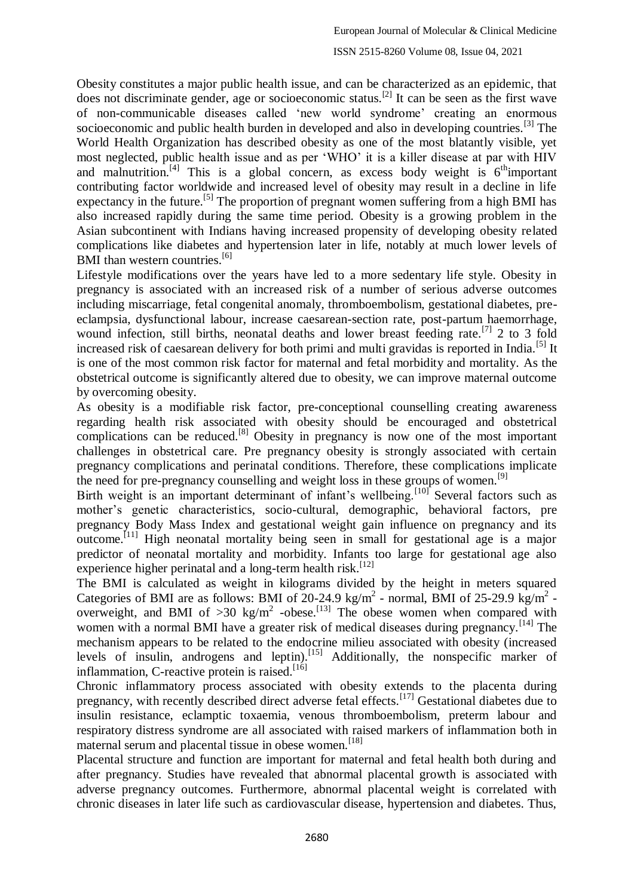Obesity constitutes a major public health issue, and can be characterized as an epidemic, that does not discriminate gender, age or socioeconomic status.[2] It can be seen as the first wave of non-communicable diseases called 'new world syndrome' creating an enormous socioeconomic and public health burden in developed and also in developing countries.<sup>[3]</sup> The World Health Organization has described obesity as one of the most blatantly visible, yet most neglected, public health issue and as per 'WHO' it is a killer disease at par with HIV and malnutrition.<sup>[4]</sup> This is a global concern, as excess body weight is  $6<sup>th</sup>$  important contributing factor worldwide and increased level of obesity may result in a decline in life expectancy in the future.<sup>[5]</sup> The proportion of pregnant women suffering from a high BMI has also increased rapidly during the same time period. Obesity is a growing problem in the Asian subcontinent with Indians having increased propensity of developing obesity related complications like diabetes and hypertension later in life, notably at much lower levels of BMI than western countries.<sup>[6]</sup>

Lifestyle modifications over the years have led to a more sedentary life style. Obesity in pregnancy is associated with an increased risk of a number of serious adverse outcomes including miscarriage, fetal congenital anomaly, thromboembolism, gestational diabetes, preeclampsia, dysfunctional labour, increase caesarean-section rate, post-partum haemorrhage, wound infection, still births, neonatal deaths and lower breast feeding rate.<sup>[7]</sup> 2 to 3 fold increased risk of caesarean delivery for both primi and multi gravidas is reported in India.<sup>[5]</sup> It is one of the most common risk factor for maternal and fetal morbidity and mortality. As the obstetrical outcome is significantly altered due to obesity, we can improve maternal outcome by overcoming obesity.

As obesity is a modifiable risk factor, pre-conceptional counselling creating awareness regarding health risk associated with obesity should be encouraged and obstetrical complications can be reduced.<sup>[8]</sup> Obesity in pregnancy is now one of the most important challenges in obstetrical care. Pre pregnancy obesity is strongly associated with certain pregnancy complications and perinatal conditions. Therefore, these complications implicate the need for pre-pregnancy counselling and weight loss in these groups of women.<sup>[9]</sup>

Birth weight is an important determinant of infant's wellbeing.<sup>[10]</sup> Several factors such as mother's genetic characteristics, socio-cultural, demographic, behavioral factors, pre pregnancy Body Mass Index and gestational weight gain influence on pregnancy and its outcome.[11] High neonatal mortality being seen in small for gestational age is a major predictor of neonatal mortality and morbidity. Infants too large for gestational age also experience higher perinatal and a long-term health risk.<sup>[12]</sup>

The BMI is calculated as weight in kilograms divided by the height in meters squared Categories of BMI are as follows: BMI of  $20-24.9 \text{ kg/m}^2$  - normal, BMI of 25-29.9 kg/m<sup>2</sup> overweight, and BMI of  $>30$  kg/m<sup>2</sup> -obese.<sup>[13]</sup> The obese women when compared with women with a normal BMI have a greater risk of medical diseases during pregnancy.<sup>[14]</sup> The mechanism appears to be related to the endocrine milieu associated with obesity (increased levels of insulin, androgens and leptin).<sup>[15]</sup> Additionally, the nonspecific marker of inflammation, C-reactive protein is raised.<sup>[16]</sup>

Chronic inflammatory process associated with obesity extends to the placenta during pregnancy, with recently described direct adverse fetal effects.<sup>[17]</sup> Gestational diabetes due to insulin resistance, eclamptic toxaemia, venous thromboembolism, preterm labour and respiratory distress syndrome are all associated with raised markers of inflammation both in maternal serum and placental tissue in obese women.<sup>[18]</sup>

Placental structure and function are important for maternal and fetal health both during and after pregnancy. Studies have revealed that abnormal placental growth is associated with adverse pregnancy outcomes. Furthermore, abnormal placental weight is correlated with chronic diseases in later life such as cardiovascular disease, hypertension and diabetes. Thus,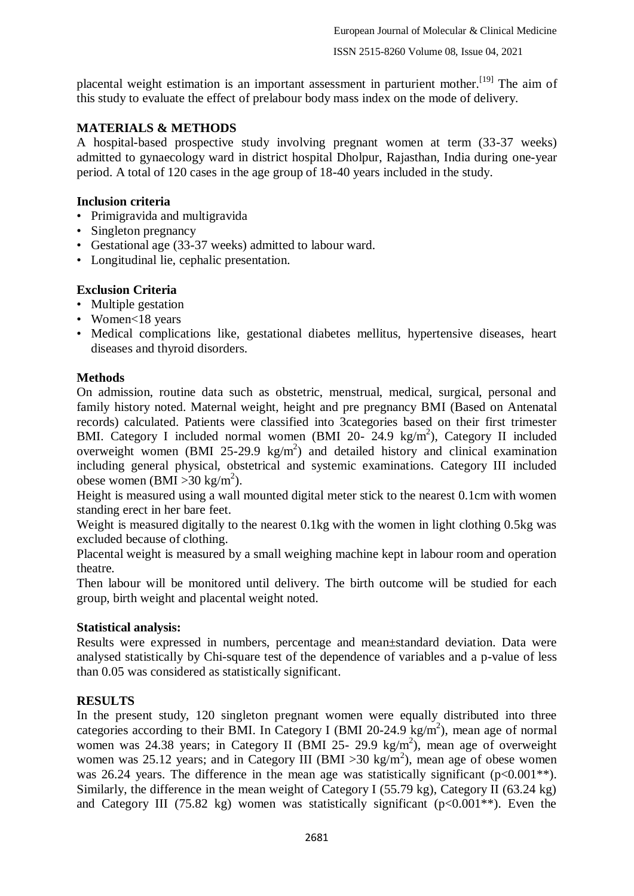placental weight estimation is an important assessment in parturient mother.<sup>[19]</sup> The aim of this study to evaluate the effect of prelabour body mass index on the mode of delivery.

## **MATERIALS & METHODS**

A hospital-based prospective study involving pregnant women at term (33-37 weeks) admitted to gynaecology ward in district hospital Dholpur, Rajasthan, India during one-year period. A total of 120 cases in the age group of 18-40 years included in the study.

### **Inclusion criteria**

- Primigravida and multigravida
- Singleton pregnancy
- Gestational age (33-37 weeks) admitted to labour ward.
- Longitudinal lie, cephalic presentation.

## **Exclusion Criteria**

- Multiple gestation
- Women<18 years
- Medical complications like, gestational diabetes mellitus, hypertensive diseases, heart diseases and thyroid disorders.

### **Methods**

On admission, routine data such as obstetric, menstrual, medical, surgical, personal and family history noted. Maternal weight, height and pre pregnancy BMI (Based on Antenatal records) calculated. Patients were classified into 3categories based on their first trimester BMI. Category I included normal women (BMI 20- 24.9 kg/m<sup>2</sup>), Category II included overweight women (BMI 25-29.9  $\text{kg/m}^2$ ) and detailed history and clinical examination including general physical, obstetrical and systemic examinations. Category III included obese women (BMI > 30 kg/m<sup>2</sup>).

Height is measured using a wall mounted digital meter stick to the nearest 0.1cm with women standing erect in her bare feet.

Weight is measured digitally to the nearest 0.1kg with the women in light clothing 0.5kg was excluded because of clothing.

Placental weight is measured by a small weighing machine kept in labour room and operation theatre.

Then labour will be monitored until delivery. The birth outcome will be studied for each group, birth weight and placental weight noted.

### **Statistical analysis:**

Results were expressed in numbers, percentage and mean±standard deviation. Data were analysed statistically by Chi-square test of the dependence of variables and a p-value of less than 0.05 was considered as statistically significant.

## **RESULTS**

In the present study, 120 singleton pregnant women were equally distributed into three categories according to their BMI. In Category I (BMI 20-24.9 kg/m<sup>2</sup>), mean age of normal women was 24.38 years; in Category II (BMI 25- 29.9 kg/m<sup>2</sup>), mean age of overweight women was 25.12 years; and in Category III (BMI > 30 kg/m<sup>2</sup>), mean age of obese women was 26.24 years. The difference in the mean age was statistically significant  $(p<0.001**)$ . Similarly, the difference in the mean weight of Category I (55.79 kg), Category II (63.24 kg) and Category III (75.82 kg) women was statistically significant ( $p<0.001**$ ). Even the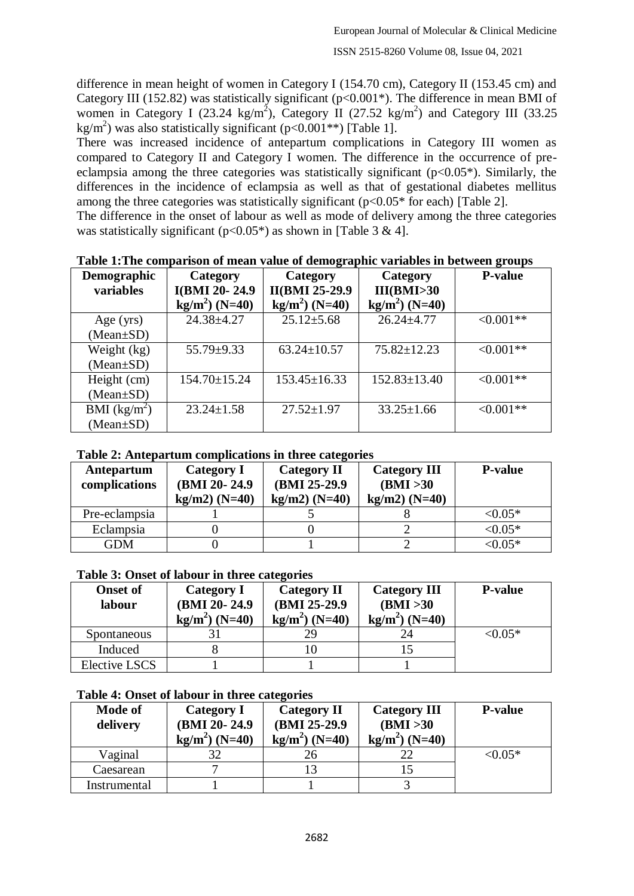difference in mean height of women in Category I (154.70 cm), Category II (153.45 cm) and Category III (152.82) was statistically significant (p<0.001\*). The difference in mean BMI of women in Category I (23.24 kg/m<sup>2</sup>), Category II (27.52 kg/m<sup>2</sup>) and Category III (33.25 kg/m<sup>2</sup>) was also statistically significant (p<0.001\*\*) [Table 1].

There was increased incidence of antepartum complications in Category III women as compared to Category II and Category I women. The difference in the occurrence of preeclampsia among the three categories was statistically significant  $(p<0.05^*)$ . Similarly, the differences in the incidence of eclampsia as well as that of gestational diabetes mellitus among the three categories was statistically significant  $(p<0.05*$  for each) [Table 2].

The difference in the onset of labour as well as mode of delivery among the three categories was statistically significant ( $p<0.05^*$ ) as shown in [Table 3 & 4].

| Demographic     | Category           | Category              | Category           | <b>P-value</b> |
|-----------------|--------------------|-----------------------|--------------------|----------------|
| variables       | I(BMI 20-24.9      | <b>II(BMI 25-29.9</b> | III(BMI>30         |                |
|                 | $kg/m2$ (N=40)     | $kg/m2$ (N=40)        | $kg/m2$ (N=40)     |                |
| Age $(yrs)$     | 24.38±4.27         | $25.12 \pm 5.68$      | $26.24 \pm 4.77$   | $< 0.001**$    |
| $(Mean \pm SD)$ |                    |                       |                    |                |
| Weight (kg)     | $55.79 \pm 9.33$   | $63.24 \pm 10.57$     | $75.82 \pm 12.23$  | $< 0.001**$    |
| $(Mean \pm SD)$ |                    |                       |                    |                |
| Height (cm)     | $154.70 \pm 15.24$ | $153.45 \pm 16.33$    | $152.83 \pm 13.40$ | $< 0.001**$    |
| $(Mean \pm SD)$ |                    |                       |                    |                |
| BMI $(kg/m^2)$  | $23.24 \pm 1.58$   | $27.52 \pm 1.97$      | $33.25 \pm 1.66$   | $< 0.001**$    |
| $(Mean \pm SD)$ |                    |                       |                    |                |

#### **Table 1:The comparison of mean value of demographic variables in between groups**

#### **Table 2: Antepartum complications in three categories**

| Antepartum<br>complications | Category I<br>(BMI 20-24.9)<br>$kg/m2$ ) (N=40) | <b>Category II</b><br>(BMI 25-29.9)<br>$kg/m2$ ) (N=40) | <b>Category III</b><br>(BMI > 30<br>$kg/m2$ ) (N=40) | <b>P-value</b> |
|-----------------------------|-------------------------------------------------|---------------------------------------------------------|------------------------------------------------------|----------------|
| Pre-eclampsia               |                                                 |                                                         |                                                      | ${<}0.05*$     |
| Eclampsia                   |                                                 |                                                         |                                                      | $< 0.05*$      |
| <b>GDM</b>                  |                                                 |                                                         |                                                      | $< 0.05*$      |

#### **Table 3: Onset of labour in three categories**

| <b>Onset of</b><br>labour | <b>Category I</b><br>(BMI 20-24.9)<br>$kg/m2$ (N=40) | <b>Category II</b><br>(BMI 25-29.9)<br>$kg/m2$ (N=40) | <b>Category III</b><br>(BMI > 30<br>$kg/m2$ (N=40) | <b>P-value</b> |
|---------------------------|------------------------------------------------------|-------------------------------------------------------|----------------------------------------------------|----------------|
| Spontaneous               |                                                      | 29                                                    | 24                                                 | $< 0.05*$      |
| Induced                   |                                                      |                                                       |                                                    |                |
| Elective LSCS             |                                                      |                                                       |                                                    |                |

#### **Table 4: Onset of labour in three categories**

| <b>Mode of</b><br>delivery | Category I<br>(BMI 20-24.9)<br>$kg/m2$ (N=40) | <b>Category II</b><br>(BMI 25-29.9)<br>$kg/m2$ (N=40) | <b>Category III</b><br>(BMI > 30<br>$kg/m2$ (N=40) | <b>P-value</b> |
|----------------------------|-----------------------------------------------|-------------------------------------------------------|----------------------------------------------------|----------------|
| Vaginal                    |                                               |                                                       | 22                                                 | $< 0.05*$      |
| Caesarean                  |                                               |                                                       |                                                    |                |
| Instrumental               |                                               |                                                       |                                                    |                |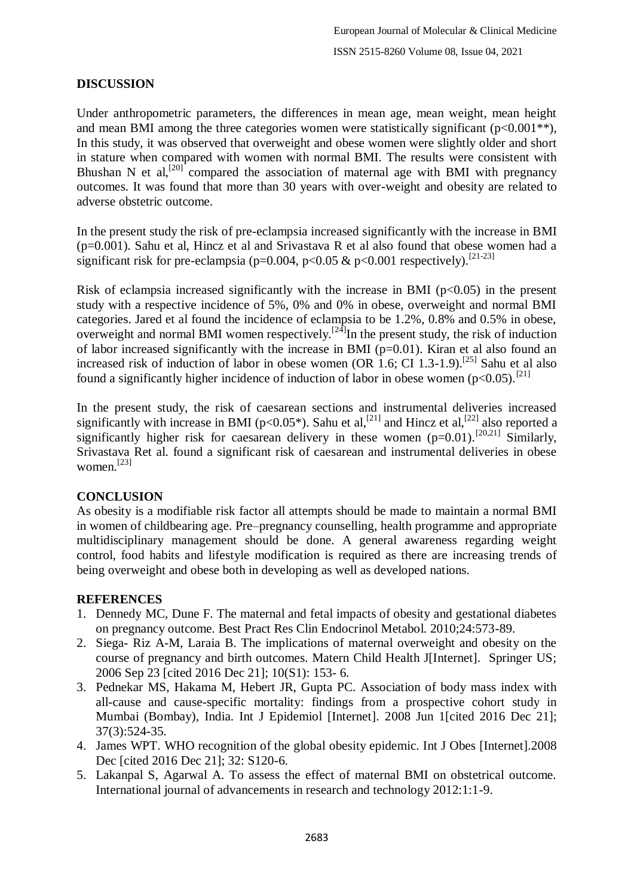## **DISCUSSION**

Under anthropometric parameters, the differences in mean age, mean weight, mean height and mean BMI among the three categories women were statistically significant  $(p<0.001**)$ , In this study, it was observed that overweight and obese women were slightly older and short in stature when compared with women with normal BMI. The results were consistent with Bhushan N et al,<sup>[20]</sup> compared the association of maternal age with BMI with pregnancy outcomes. It was found that more than 30 years with over-weight and obesity are related to adverse obstetric outcome.

In the present study the risk of pre-eclampsia increased significantly with the increase in BMI (p=0.001). Sahu et al, Hincz et al and Srivastava R et al also found that obese women had a significant risk for pre-eclampsia (p=0.004, p<0.05 & p<0.001 respectively).<sup>[21-23]</sup>

Risk of eclampsia increased significantly with the increase in BMI ( $p<0.05$ ) in the present study with a respective incidence of 5%, 0% and 0% in obese, overweight and normal BMI categories. Jared et al found the incidence of eclampsia to be 1.2%, 0.8% and 0.5% in obese, overweight and normal BMI women respectively.<sup>[24]</sup>In the present study, the risk of induction of labor increased significantly with the increase in BMI ( $p=0.01$ ). Kiran et al also found an increased risk of induction of labor in obese women (OR  $1.6$ ; CI 1.3-1.9).<sup>[25]</sup> Sahu et al also found a significantly higher incidence of induction of labor in obese women  $(p<0.05)$ .<sup>[21]</sup>

In the present study, the risk of caesarean sections and instrumental deliveries increased significantly with increase in BMI ( $p<0.05^*$ ). Sahu et al,<sup>[21]</sup> and Hincz et al,<sup>[22]</sup> also reported a significantly higher risk for caesarean delivery in these women  $(p=0.01)$ .<sup>[20,21]</sup> Similarly, Srivastava Ret al. found a significant risk of caesarean and instrumental deliveries in obese women. [23]

### **CONCLUSION**

As obesity is a modifiable risk factor all attempts should be made to maintain a normal BMI in women of childbearing age. Pre–pregnancy counselling, health programme and appropriate multidisciplinary management should be done. A general awareness regarding weight control, food habits and lifestyle modification is required as there are increasing trends of being overweight and obese both in developing as well as developed nations.

## **REFERENCES**

- 1. Dennedy MC, Dune F. The maternal and fetal impacts of obesity and gestational diabetes on pregnancy outcome. Best Pract Res Clin Endocrinol Metabol. 2010;24:573-89.
- 2. Siega- Riz A-M, Laraia B. The implications of maternal overweight and obesity on the course of pregnancy and birth outcomes. Matern Child Health J[Internet]. Springer US; 2006 Sep 23 [cited 2016 Dec 21]; 10(S1): 153- 6.
- 3. Pednekar MS, Hakama M, Hebert JR, Gupta PC. Association of body mass index with all-cause and cause-specific mortality: findings from a prospective cohort study in Mumbai (Bombay), India. Int J Epidemiol [Internet]. 2008 Jun 1[cited 2016 Dec 21]; 37(3):524-35.
- 4. James WPT. WHO recognition of the global obesity epidemic. Int J Obes [Internet].2008 Dec [cited 2016 Dec 21]; 32: S120-6.
- 5. Lakanpal S, Agarwal A. To assess the effect of maternal BMI on obstetrical outcome. International journal of advancements in research and technology 2012:1:1-9.